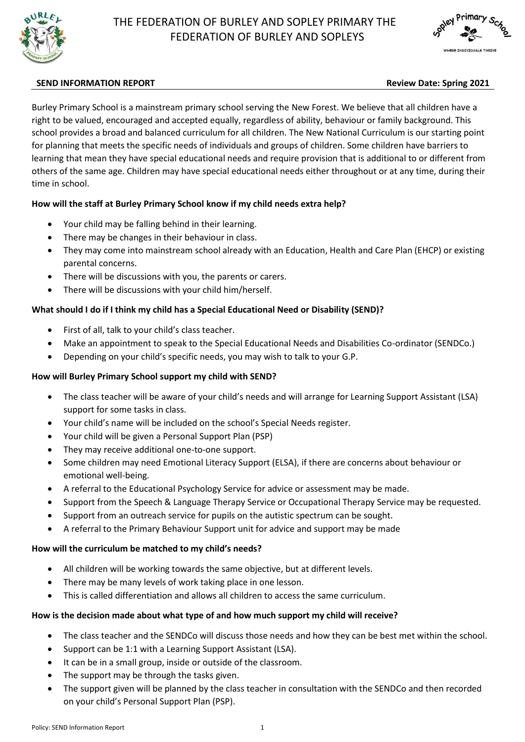



## **SEND INFORMATION REPORT Review Date: Spring 2021**

Burley Primary School is a mainstream primary school serving the New Forest. We believe that all children have a right to be valued, encouraged and accepted equally, regardless of ability, behaviour or family background. This school provides a broad and balanced curriculum for all children. The New National Curriculum is our starting point for planning that meets the specific needs of individuals and groups of children. Some children have barriers to learning that mean they have special educational needs and require provision that is additional to or different from others of the same age. Children may have special educational needs either throughout or at any time, during their time in school.

## **How will the staff at Burley Primary School know if my child needs extra help?**

- Your child may be falling behind in their learning.
- There may be changes in their behaviour in class.
- They may come into mainstream school already with an Education, Health and Care Plan (EHCP) or existing parental concerns.
- There will be discussions with you, the parents or carers.
- There will be discussions with your child him/herself.

## **What should I do if I think my child has a Special Educational Need or Disability (SEND)?**

- First of all, talk to your child's class teacher.
- Make an appointment to speak to the Special Educational Needs and Disabilities Co-ordinator (SENDCo.)
- Depending on your child's specific needs, you may wish to talk to your G.P.

#### **How will Burley Primary School support my child with SEND?**

- The class teacher will be aware of your child's needs and will arrange for Learning Support Assistant (LSA) support for some tasks in class.
- Your child's name will be included on the school's Special Needs register.
- Your child will be given a Personal Support Plan (PSP)
- They may receive additional one-to-one support.
- Some children may need Emotional Literacy Support (ELSA), if there are concerns about behaviour or emotional well-being.
- A referral to the Educational Psychology Service for advice or assessment may be made.
- Support from the Speech & Language Therapy Service or Occupational Therapy Service may be requested.
- Support from an outreach service for pupils on the autistic spectrum can be sought.
- A referral to the Primary Behaviour Support unit for advice and support may be made

# **How will the curriculum be matched to my child's needs?**

- All children will be working towards the same objective, but at different levels.
- There may be many levels of work taking place in one lesson.
- This is called differentiation and allows all children to access the same curriculum.

# **How is the decision made about what type of and how much support my child will receive?**

- The class teacher and the SENDCo will discuss those needs and how they can be best met within the school.
- Support can be 1:1 with a Learning Support Assistant (LSA).
- It can be in a small group, inside or outside of the classroom.
- The support may be through the tasks given.
- The support given will be planned by the class teacher in consultation with the SENDCo and then recorded on your child's Personal Support Plan (PSP).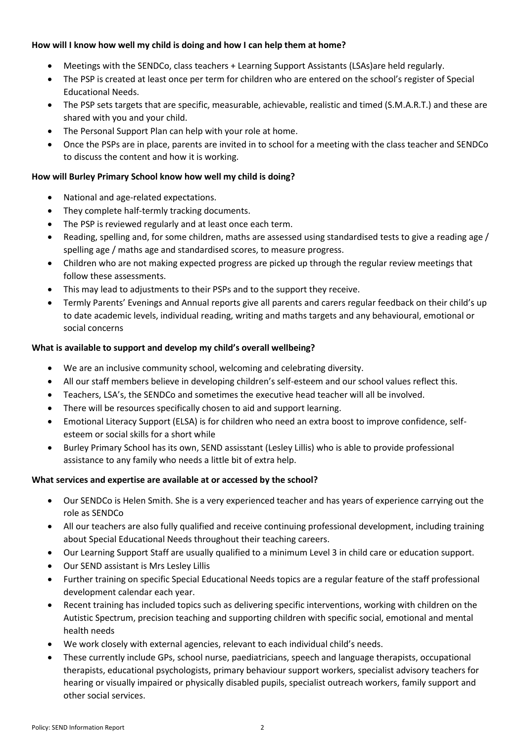#### **How will I know how well my child is doing and how I can help them at home?**

- Meetings with the SENDCo, class teachers + Learning Support Assistants (LSAs)are held regularly.
- The PSP is created at least once per term for children who are entered on the school's register of Special Educational Needs.
- The PSP sets targets that are specific, measurable, achievable, realistic and timed (S.M.A.R.T.) and these are shared with you and your child.
- The Personal Support Plan can help with your role at home.
- Once the PSPs are in place, parents are invited in to school for a meeting with the class teacher and SENDCo to discuss the content and how it is working.

## **How will Burley Primary School know how well my child is doing?**

- National and age-related expectations.
- They complete half-termly tracking documents.
- The PSP is reviewed regularly and at least once each term.
- Reading, spelling and, for some children, maths are assessed using standardised tests to give a reading age / spelling age / maths age and standardised scores, to measure progress.
- Children who are not making expected progress are picked up through the regular review meetings that follow these assessments.
- This may lead to adjustments to their PSPs and to the support they receive.
- Termly Parents' Evenings and Annual reports give all parents and carers regular feedback on their child's up to date academic levels, individual reading, writing and maths targets and any behavioural, emotional or social concerns

#### **What is available to support and develop my child's overall wellbeing?**

- We are an inclusive community school, welcoming and celebrating diversity.
- All our staff members believe in developing children's self-esteem and our school values reflect this.
- Teachers, LSA's, the SENDCo and sometimes the executive head teacher will all be involved.
- There will be resources specifically chosen to aid and support learning.
- Emotional Literacy Support (ELSA) is for children who need an extra boost to improve confidence, selfesteem or social skills for a short while
- Burley Primary School has its own, SEND assisstant (Lesley Lillis) who is able to provide professional assistance to any family who needs a little bit of extra help.

#### **What services and expertise are available at or accessed by the school?**

- Our SENDCo is Helen Smith. She is a very experienced teacher and has years of experience carrying out the role as SENDCo
- All our teachers are also fully qualified and receive continuing professional development, including training about Special Educational Needs throughout their teaching careers.
- Our Learning Support Staff are usually qualified to a minimum Level 3 in child care or education support.
- Our SEND assistant is Mrs Lesley Lillis
- Further training on specific Special Educational Needs topics are a regular feature of the staff professional development calendar each year.
- Recent training has included topics such as delivering specific interventions, working with children on the Autistic Spectrum, precision teaching and supporting children with specific social, emotional and mental health needs
- We work closely with external agencies, relevant to each individual child's needs.
- These currently include GPs, school nurse, paediatricians, speech and language therapists, occupational therapists, educational psychologists, primary behaviour support workers, specialist advisory teachers for hearing or visually impaired or physically disabled pupils, specialist outreach workers, family support and other social services.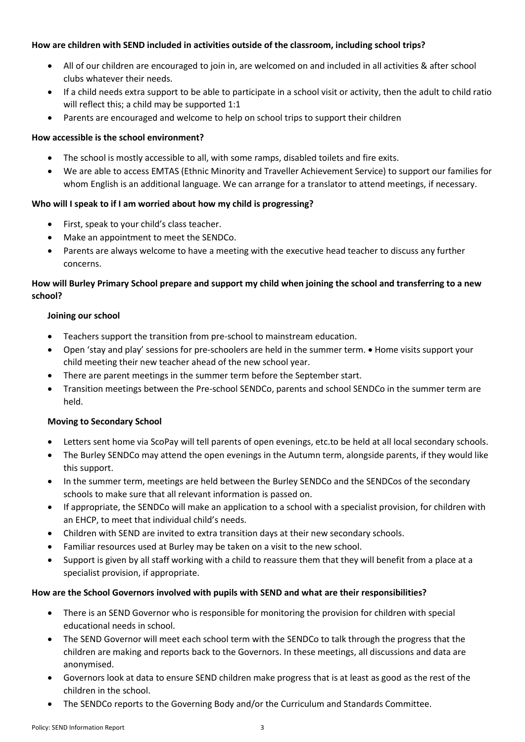#### **How are children with SEND included in activities outside of the classroom, including school trips?**

- All of our children are encouraged to join in, are welcomed on and included in all activities & after school clubs whatever their needs.
- If a child needs extra support to be able to participate in a school visit or activity, then the adult to child ratio will reflect this; a child may be supported 1:1
- Parents are encouraged and welcome to help on school trips to support their children

## **How accessible is the school environment?**

- The school is mostly accessible to all, with some ramps, disabled toilets and fire exits.
- We are able to access EMTAS (Ethnic Minority and Traveller Achievement Service) to support our families for whom English is an additional language. We can arrange for a translator to attend meetings, if necessary.

## **Who will I speak to if I am worried about how my child is progressing?**

- First, speak to your child's class teacher.
- Make an appointment to meet the SENDCo.
- Parents are always welcome to have a meeting with the executive head teacher to discuss any further concerns.

# **How will Burley Primary School prepare and support my child when joining the school and transferring to a new school?**

#### **Joining our school**

- Teachers support the transition from pre-school to mainstream education.
- Open 'stay and play' sessions for pre-schoolers are held in the summer term. Home visits support your child meeting their new teacher ahead of the new school year.
- There are parent meetings in the summer term before the September start.
- Transition meetings between the Pre-school SENDCo, parents and school SENDCo in the summer term are held.

## **Moving to Secondary School**

- Letters sent home via ScoPay will tell parents of open evenings, etc.to be held at all local secondary schools.
- The Burley SENDCo may attend the open evenings in the Autumn term, alongside parents, if they would like this support.
- In the summer term, meetings are held between the Burley SENDCo and the SENDCos of the secondary schools to make sure that all relevant information is passed on.
- If appropriate, the SENDCo will make an application to a school with a specialist provision, for children with an EHCP, to meet that individual child's needs.
- Children with SEND are invited to extra transition days at their new secondary schools.
- Familiar resources used at Burley may be taken on a visit to the new school.
- Support is given by all staff working with a child to reassure them that they will benefit from a place at a specialist provision, if appropriate.

## **How are the School Governors involved with pupils with SEND and what are their responsibilities?**

- There is an SEND Governor who is responsible for monitoring the provision for children with special educational needs in school.
- The SEND Governor will meet each school term with the SENDCo to talk through the progress that the children are making and reports back to the Governors. In these meetings, all discussions and data are anonymised.
- Governors look at data to ensure SEND children make progress that is at least as good as the rest of the children in the school.
- The SENDCo reports to the Governing Body and/or the Curriculum and Standards Committee.